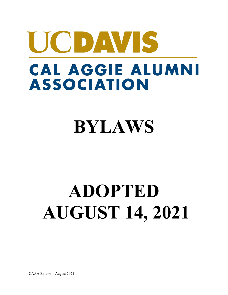# UCDAVIS CAL AGGIE ALUMNI **ASSOCIATION**

## **BYLAWS**

## **ADOPTED AUGUST 14, 2021**

CAAA Bylaws – August 2021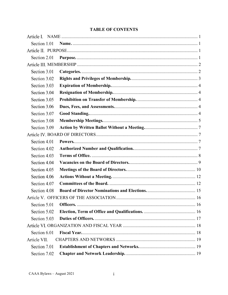| <b>TABLE OF CONTENTS</b> |  |
|--------------------------|--|
|--------------------------|--|

| Section 1.01 |  |  |  |
|--------------|--|--|--|
|              |  |  |  |
| Section 2.01 |  |  |  |
|              |  |  |  |
| Section 3.01 |  |  |  |
| Section 3.02 |  |  |  |
| Section 3.03 |  |  |  |
| Section 3.04 |  |  |  |
| Section 3.05 |  |  |  |
| Section 3.06 |  |  |  |
| Section 3.07 |  |  |  |
| Section 3.08 |  |  |  |
| Section 3.09 |  |  |  |
|              |  |  |  |
| Section 4.01 |  |  |  |
| Section 4.02 |  |  |  |
| Section 4.03 |  |  |  |
| Section 4.04 |  |  |  |
| Section 4.05 |  |  |  |
| Section 4.06 |  |  |  |
| Section 4.07 |  |  |  |
| Section 4.08 |  |  |  |
|              |  |  |  |
| Section 5.01 |  |  |  |
| Section 5.02 |  |  |  |
| Section 5.03 |  |  |  |
|              |  |  |  |
| Section 6.01 |  |  |  |
| Article VII. |  |  |  |
| Section 7.01 |  |  |  |
| Section 7.02 |  |  |  |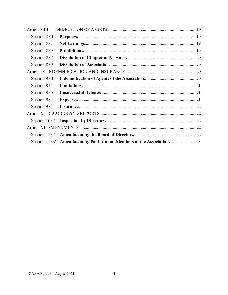| Article VIII. |                                                                        |  |
|---------------|------------------------------------------------------------------------|--|
| Section 8.01  |                                                                        |  |
| Section 8.02  |                                                                        |  |
| Section 8.03  |                                                                        |  |
| Section 8.04  |                                                                        |  |
| Section 8.05  |                                                                        |  |
|               |                                                                        |  |
| Section 9.01  |                                                                        |  |
| Section 9.02  |                                                                        |  |
| Section 9.03  |                                                                        |  |
| Section 9.04  |                                                                        |  |
| Section 9.05  |                                                                        |  |
|               |                                                                        |  |
|               |                                                                        |  |
|               |                                                                        |  |
| Section 11.01 |                                                                        |  |
|               | Section 11.02 Amendment by Paid Alumni Members of the Association.  23 |  |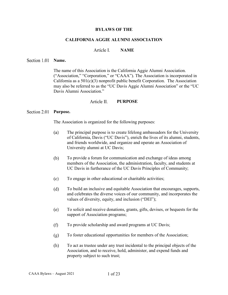## **BYLAWS OF THE**

## **CALIFORNIA AGGIE ALUMNI ASSOCIATION**

#### Article L **NAME**

### <span id="page-3-1"></span><span id="page-3-0"></span>Section 1.01 Name.

The name of this Association is the California Aggie Alumni Association. ("Association," "Corporation," or "CAAA"). The Association is incorporated in California as a  $501(c)(3)$  nonprofit public benefit Corporation. The Association may also be referred to as the "UC Davis Aggie Alumni Association" or the "UC Davis Alumni Association."

#### Article II. **PURPOSE**

## <span id="page-3-3"></span><span id="page-3-2"></span>Section 2.01 Purpose.

The Association is organized for the following purposes:

- $(a)$ The principal purpose is to create lifelong ambassadors for the University of California, Davis ("UC Davis"), enrich the lives of its alumni, students, and friends worldwide, and organize and operate an Association of University alumni at UC Davis;
- $(b)$ To provide a forum for communication and exchange of ideas among members of the Association, the administration, faculty, and students at UC Davis in furtherance of the UC Davis Principles of Community;
- $(c)$ To engage in other educational or charitable activities;
- $(d)$ To build an inclusive and equitable Association that encourages, supports, and celebrates the diverse voices of our community, and incorporates the values of diversity, equity, and inclusion ("DEI");
- To solicit and receive donations, grants, gifts, devises, or bequests for the (e) support of Association programs;
- $(f)$ To provide scholarship and award programs at UC Davis;
- $(g)$ To foster educational opportunities for members of the Association;
- (h) To act as trustee under any trust incidental to the principal objects of the Association, and to receive, hold, administer, and expend funds and property subject to such trust;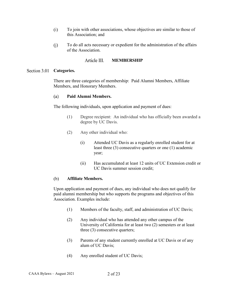- $(i)$ To join with other associations, whose objectives are similar to those of this Association; and
- $(i)$ To do all acts necessary or expedient for the administration of the affairs of the Association.

#### Article III **MEMBERSHIP**

## <span id="page-4-1"></span><span id="page-4-0"></span>Section 3.01 **Categories.**

There are three categories of membership: Paid Alumni Members, Affiliate Members, and Honorary Members.

#### **Paid Alumni Members.**   $(a)$

The following individuals, upon application and payment of dues:

- (1) Degree recipient: An individual who has officially been awarded a degree by UC Davis.
- (2) Any other individual who:
	- (i) Attended UC Davis as a regularly enrolled student for at least three (3) consecutive quarters or one (1) academic year;
	- (ii) Has accumulated at least 12 units of UC Extension credit or UC Davis summer session credit;

#### $(b)$ **Affiliate Members.**

Upon application and payment of dues, any individual who does not qualify for paid alumni membership but who supports the programs and objectives of this Association. Examples include:

- (1) Members of the faculty, staff, and administration of UC Davis;
- (2) Any individual who has attended any other campus of the University of California for at least two (2) semesters or at least three (3) consecutive quarters;
- (3) Parents of any student currently enrolled at UC Davis or of any alum of UC Davis;
- (4) Any enrolled student of UC Davis;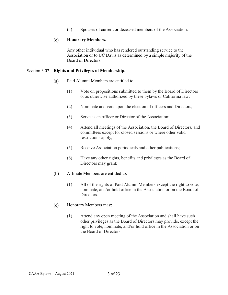(5) Spouses of current or deceased members of the Association.

#### $(c)$ **Honorary Members.**

Any other individual who has rendered outstanding service to the Association or to UC Davis as determined by a simple majority of the Board of Directors.

## <span id="page-5-0"></span>**Rights and Privileges of Membership.**

- Paid Alumni Members are entitled to:  $(a)$ 
	- (1) Vote on propositions submitted to them by the Board of Directors or as otherwise authorized by these bylaws or California law;
	- (2) Nominate and vote upon the election of officers and Directors;
	- (3) Serve as an officer or Director of the Association;
	- (4) Attend all meetings of the Association, the Board of Directors, and committees except for closed sessions or where other valid restrictions apply;
	- (5) Receive Association periodicals and other publications;
	- (6) Have any other rights, benefits and privileges as the Board of Directors may grant;
- $(b)$ Affiliate Members are entitled to:
	- (1) All of the rights of Paid Alumni Members except the right to vote, nominate, and/or hold office in the Association or on the Board of Directors.
- $(c)$ Honorary Members may:
	- (1) Attend any open meeting of the Association and shall have such other privileges as the Board of Directors may provide, except the right to vote, nominate, and/or hold office in the Association or on the Board of Directors.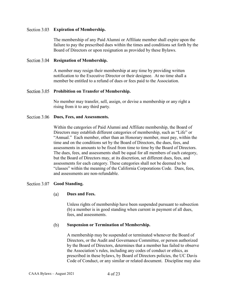## <span id="page-6-0"></span>**Expiration of Membership.**

The membership of any Paid Alumni or Affiliate member shall expire upon the failure to pay the prescribed dues within the times and conditions set forth by the Board of Directors or upon resignation as provided by these Bylaws.

## <span id="page-6-1"></span>**Resignation of Membership.**

A member may resign their membership at any time by providing written notification to the Executive Director or their designee. At no time shall a member be entitled to a refund of dues or fees paid to the Association.

## <span id="page-6-2"></span>**Prohibition on Transfer of Membership.**

No member may transfer, sell, assign, or devise a membership or any right a rising from it to any third party.

## <span id="page-6-3"></span>Section 3.06 **Dues, Fees, and Assessments.**

Within the categories of Paid Alumni and Affiliate membership, the Board of Directors may establish different categories of membership, such as "Life" or "Annual." Each member, other than an Honorary member, must pay, within the time and on the conditions set by the Board of Directors, the dues, fees, and assessments in amounts to be fixed from time to time by the Board of Directors. The dues, fees, and assessments shall be equal for all members of each category, but the Board of Directors may, at its discretion, set different dues, fees, and assessments for each category. These categories shall not be deemed to be "classes" within the meaning of the California Corporations Code. Dues, fees, and assessments are non-refundable.

## <span id="page-6-4"></span>Section 3.07 **Good Standing.**

#### **Dues and Fees.**   $(a)$

Unless rights of membership have been suspended pursuant to subsection (b) a member is in good standing when current in payment of all dues, fees, and assessments.

#### (b) **Suspension or Termination of Membership.**

A membership may be suspended or terminated whenever the Board of Directors, or the Audit and Governance Committee, or person authorized by the Board of Directors, determines that a member has failed to observe the Association's rules, including any codes of conduct or ethics, as prescribed in these bylaws, by Board of Directors policies, the UC Davis Code of Conduct, or any similar or related document. Discipline may also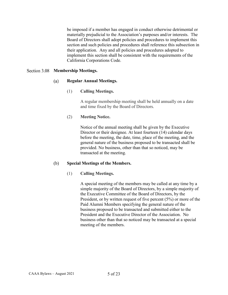be imposed if a member has engaged in conduct otherwise detrimental or materially prejudicial to the Association's purposes and/or interests. The Board of Directors shall adopt policies and procedures to implement this section and such policies and procedures shall reference this subsection in their application. Any and all policies and procedures adopted to implement this section shall be consistent with the requirements of the California Corporations Code.

## <span id="page-7-0"></span>**Membership Meetings.**

#### **Regular Annual Meetings.**  $(a)$

## (1) **Calling Meetings.**

A regular membership meeting shall be held annually on a date and time fixed by the Board of Directors.

## (2) **Meeting Notice.**

Notice of the annual meeting shall be given by the Executive Director or their designee. At least fourteen (14) calendar days before the meeting, the date, time, place of the meeting, and the general nature of the business proposed to be transacted shall be provided. No business, other than that so noticed, may be transacted at the meeting.

#### (b) **Special Meetings of the Members.**

## (1) **Calling Meetings.**

A special meeting of the members may be called at any time by a simple majority of the Board of Directors, by a simple majority of the Executive Committee of the Board of Directors, by the President, or by written request of five percent (5%) or more of the Paid Alumni Members specifying the general nature of the business proposed to be transacted and submitted either to the President and the Executive Director of the Association. No business other than that so noticed may be transacted at a special meeting of the members.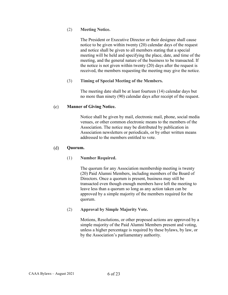## (2) **Meeting Notice.**

The President or Executive Director or their designee shall cause notice to be given within twenty (20) calendar days of the request and notice shall be given to all members stating that a special meeting will be held and specifying the place, date, and time of the meeting, and the general nature of the business to be transacted. If the notice is not given within twenty (20) days after the request is received, the members requesting the meeting may give the notice.

## (3) **Timing of Special Meeting of the Members.**

The meeting date shall be at least fourteen (14) calendar days but no more than ninety (90) calendar days after receipt of the request.

#### $(c)$ **Manner of Giving Notice.**

Notice shall be given by mail, electronic mail, phone, social media venues, or other common electronic means to the members of the Association. The notice may be distributed by publication in Association newsletters or periodicals, or by other written means addressed to the members entitled to vote.

#### $(d)$ **Quorum.**

## (1) **Number Required.**

The quorum for any Association membership meeting is twenty (20) Paid Alumni Members, including members of the Board of Directors. Once a quorum is present, business may still be transacted even though enough members have left the meeting to leave less than a quorum so long as any action taken can be approved by a simple majority of the members required for the quorum.

## (2) **Approval by Simple Majority Vote.**

Motions, Resolutions, or other proposed actions are approved by a simple majority of the Paid Alumni Members present and voting, unless a higher percentage is required by these bylaws, by law, or by the Association's parliamentary authority.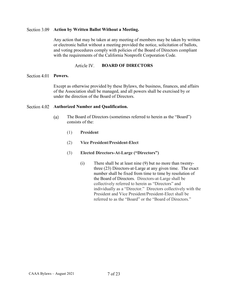## <span id="page-9-0"></span>**Action by Written Ballot Without a Meeting.**

Any action that may be taken at any meeting of members may be taken by written or electronic ballot without a meeting provided the notice, solicitation of ballots, and voting procedures comply with policies of the Board of Directors compliant with the requirements of the California Nonprofit Corporation Code.

#### Article IV. **BOARD OF DIRECTORS**

## <span id="page-9-2"></span><span id="page-9-1"></span>Section 4.01 **Powers.**

Except as otherwise provided by these Bylaws, the business, finances, and affairs of the Association shall be managed, and all powers shall be exercised by or under the direction of the Board of Directors.

## <span id="page-9-3"></span>Section 4.02 **Authorized Number and Qualification.**

- $(a)$ The Board of Directors (sometimes referred to herein as the "Board") consists of the:
	- (1) **President**
	- (2) **Vice President/President-Elect**
	- (3) **Elected Directors-At-Large ("Directors")**
		- (i) There shall be at least nine (9) but no more than twentythree (23) Directors-at-Large at any given time. The exact number shall be fixed from time to time by resolution of the Board of Directors. Directors-at-Large shall be collectively referred to herein as "Directors" and individually as a "Director." Directors collectively with the President and Vice President/President-Elect shall be referred to as the "Board" or the "Board of Directors."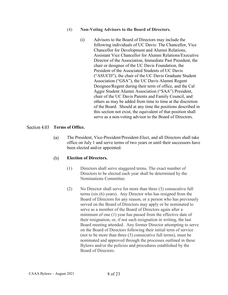## (4) **Non-Voting Advisors to the Board of Directors.**

(i) Advisors to the Board of Directors may include the following individuals of UC Davis: The Chancellor, Vice Chancellor for Development and Alumni Relations, Assistant Vice Chancellor for Alumni Relations/Executive Director of the Association, Immediate Past President, the chair or designee of the UC Davis Foundation, the President of the Associated Students of UC Davis ("ASUCD"), the chair of the UC Davis Graduate Student Association ("GSA"), the UC Davis Alumni Regent Designee/Regent during their term of office, and the Cal Aggie Student Alumni Association ("SAA") President, chair of the UC Davis Parents and Family Council, and others as may be added from time to time at the discretion of the Board. Should at any time the positions described in this section not exist, the equivalent of that position shall serve as a non-voting advisor to the Board of Directors.

## <span id="page-10-0"></span>Section 4.03 **Terms of Office.**

The President, Vice-President/President-Elect, and all Directors shall take  $(a)$ office on July 1 and serve terms of two years or until their successors have been elected and/or appointed.

#### $(b)$ **Election of Directors.**

- (1) Directors shall serve staggered terms. The exact number of Directors to be elected each year shall be determined by the Nominations Committee.
- (2) No Director shall serve for more than three (3) consecutive full terms (six (6) years). Any Director who has resigned from the Board of Directors for any reason, or a person who has previously served on the Board of Directors may apply or be nominated to serve as a member of the Board of Directors again after a minimum of one (1) year has passed from the effective date of their resignation, or, if not such resignation in writing, the last Board meeting attended. Any former Director attempting to serve on the Board of Directors following their initial term of service (not to be more than three (3) consecutive full terms), must be nominated and approved through the processes outlined in these Bylaws and/or the policies and procedures established by the Board of Directors.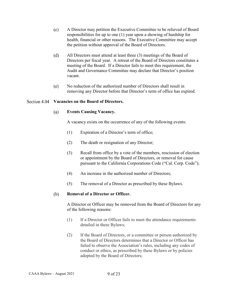- $(c)$ A Director may petition the Executive Committee to be relieved of Board responsibilities for up to one (1) year upon a showing of hardship for health, financial or other reasons. The Executive Committee may accept the petition without approval of the Board of Directors.
- $(d)$ All Directors must attend at least three (3) meetings of the Board of Directors per fiscal year. A retreat of the Board of Directors constitutes a meeting of the Board. If a Director fails to meet this requirement, the Audit and Governance Committee may declare that Director's position vacant.
- No reduction of the authorized number of Directors shall result in (e) removing any Director before that Director's term of office has expired.

## <span id="page-11-0"></span>**Vacancies on the Board of Directors.**

#### $(a)$ **Events Causing Vacancy.**

A vacancy exists on the occurrence of any of the following events:

- (1) Expiration of a Director's term of office;
- (2) The death or resignation of any Director;
- (3) Recall from office by a vote of the members, rescission of election or appointment by the Board of Directors, or removal for cause pursuant to the California Corporations Code ("Cal. Corp. Code");
- (4) An increase in the authorized number of Directors;
- (5) The removal of a Director as prescribed by these Bylaws.

#### **Removal of a Director or Officer.** (b)

A Director or Officer may be removed from the Board of Directors for any of the following reasons:

- (1) If a Director or Officer fails to meet the attendance requirements detailed in these Bylaws;
- (2) If the Board of Directors, or a committee or person authorized by the Board of Directors determines that a Director or Officer has failed to observe the Association's rules, including any codes of conduct or ethics, as prescribed by these Bylaws or by policies adopted by the Board of Directors;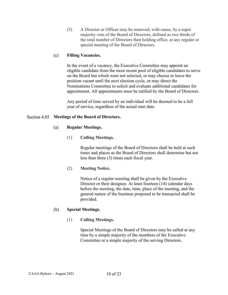(3) A Director or Officer may be removed, with cause, by a super majority vote of the Board of Directors, defined as two thirds of the total number of Directors then holding office, at any regular or special meeting of the Board of Directors.

#### $(c)$ **Filling Vacancies.**

In the event of a vacancy, the Executive Committee may appoint an eligible candidate from the most recent pool of eligible candidates to serve on the Board but which were not selected, or may choose to leave the position vacant until the next election cycle, or may direct the Nominations Committee to solicit and evaluate additional candidates for appointment. All appointments must be ratified by the Board of Directors.

Any period of time served by an individual will be deemed to be a full year of service, regardless of the actual start date.

## <span id="page-12-0"></span>**Meetings of the Board of Directors.**

#### **Regular Meetings.**   $(a)$

(1) **Calling Meetings.** 

Regular meetings of the Board of Directors shall be held at such times and places as the Board of Directors shall determine but not less than three (3) times each fiscal year.

(2) **Meeting Notice.** 

Notice of a regular meeting shall be given by the Executive Director or their designee. At least fourteen (14) calendar days before the meeting, the date, time, place of the meeting, and the general nature of the business proposed to be transacted shall be provided.

#### (b) **Special Meetings.**

(1) **Calling Meetings.** 

Special Meetings of the Board of Directors may be called at any time by a simple majority of the members of the Executive Committee or a simple majority of the serving Directors.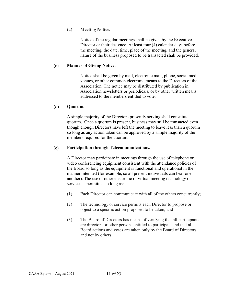## (2) **Meeting Notice.**

Notice of the regular meetings shall be given by the Executive Director or their designee. At least four (4) calendar days before the meeting, the date, time, place of the meeting, and the general nature of the business proposed to be transacted shall be provided.

#### $(c)$ **Manner of Giving Notice.**

Notice shall be given by mail, electronic mail, phone, social media venues, or other common electronic means to the Directors of the Association. The notice may be distributed by publication in Association newsletters or periodicals, or by other written means addressed to the members entitled to vote.

#### $(d)$ **Quorum.**

A simple majority of the Directors presently serving shall constitute a quorum. Once a quorum is present, business may still be transacted even though enough Directors have left the meeting to leave less than a quorum so long as any action taken can be approved by a simple majority of the members required for the quorum.

#### $(e)$ **Participation through Telecommunications.**

A Director may participate in meetings through the use of telephone or video conferencing equipment consistent with the attendance policies of the Board so long as the equipment is functional and operational in the manner intended (for example, so all present individuals can hear one another). The use of other electronic or virtual meeting technology or services is permitted so long as:

- (1) Each Director can communicate with all of the others concurrently;
- (2) The technology or service permits each Director to propose or object to a specific action proposed to be taken; and
- (3) The Board of Directors has means of verifying that all participants are directors or other persons entitled to participate and that all Board actions and votes are taken only by the Board of Directors and not by others.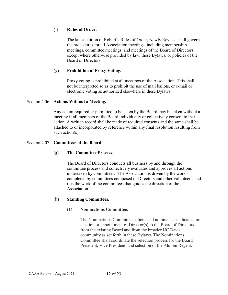#### $(f)$ **Rules of Order.**

The latest edition of Robert's Rules of Order, Newly Revised shall govern the procedures for all Association meetings, including membership meetings, committee meetings, and meetings of the Board of Directors, except where otherwise provided by law, these Bylaws, or policies of the Board of Directors.

#### $(g)$ **Prohibition of Proxy Voting.**

Proxy voting is prohibited at all meetings of the Association. This shall not be interpreted so as to prohibit the use of mail ballots, or e-mail or electronic voting as authorized elsewhere in these Bylaws.

## <span id="page-14-0"></span>Section 4.06 **Actions Without a Meeting.**

Any action required or permitted to be taken by the Board may be taken without a meeting if all members of the Board individually or collectively consent to that action. A written record shall be made of required consents and the same shall be attached to or incorporated by reference within any final resolution resulting from such action(s).

## <span id="page-14-1"></span>Section 4.07 **Committees of the Board.**

#### $(a)$ **The Committee Process.**

The Board of Directors conducts all business by and through the committee process and collectively evaluates and approves all actions undertaken by committees. The Association is driven by the work completed by committees composed of Directors and other volunteers, and it is the work of the committees that guides the direction of the Association.

#### $(b)$ **Standing Committees.**

## (1) **Nominations Committee.**

The Nominations Committee solicits and nominates candidates for election or appointment of Director(s) to the Board of Directors from the existing Board and from the broader UC Davis community as set forth in these Bylaws. The Nominations Committee shall coordinate the selection process for the Board President, Vice President, and selection of the Alumni Regent.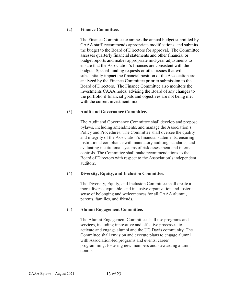## (2) **Finance Committee.**

The Finance Committee examines the annual budget submitted by CAAA staff, recommends appropriate modifications, and submits the budget to the Board of Directors for approval. The Committee assesses quarterly financial statements and other financial or budget reports and makes appropriate mid-year adjustments to ensure that the Association's finances are consistent with the budget. Special funding requests or other issues that will substantially impact the financial position of the Association are analyzed by the Finance Committee prior to submission to the Board of Directors. The Finance Committee also monitors the investments CAAA holds, advising the Board of any changes to the portfolio if financial goals and objectives are not being met with the current investment mix.

## (3) **Audit and Governance Committee.**

The Audit and Governance Committee shall develop and propose bylaws, including amendments, and manage the Association's Policy and Procedures. The Committee shall oversee the quality and integrity of the Association's financial statements, ensuring institutional compliance with mandatory auditing standards, and evaluating institutional systems of risk assessment and internal controls. The Committee shall make recommendations to the Board of Directors with respect to the Association's independent auditors.

## (4) **Diversity, Equity, and Inclusion Committee.**

The Diversity, Equity, and Inclusion Committee shall create a more diverse, equitable, and inclusive organization and foster a sense of belonging and welcomeness for all CAAA alumni, parents, families, and friends.

## (5) **Alumni Engagement Committee.**

The Alumni Engagement Committee shall use programs and services, including innovative and effective processes, to activate and engage alumni and the UC Davis community. The Committee shall envision and execute plans to engage alumni with Association-led programs and events, career programming, fostering new members and stewarding alumni donors.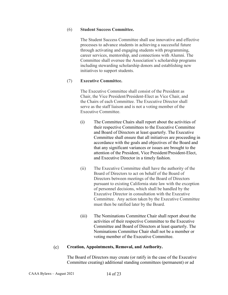## (6) **Student Success Committee.**

The Student Success Committee shall use innovative and effective processes to advance students in achieving a successful future through activating and engaging students with programming, career services, mentorship, and connections with Alumni. The Committee shall oversee the Association's scholarship programs including stewarding scholarship donors and establishing new initiatives to support students.

## (7) **Executive Committee.**

The Executive Committee shall consist of the President as Chair, the Vice President/President-Elect as Vice Chair, and the Chairs of each Committee. The Executive Director shall serve as the staff liaison and is not a voting member of the Executive Committee.

- (i) The Committee Chairs shall report about the activities of their respective Committees to the Executive Committee and Board of Directors at least quarterly. The Executive Committee shall ensure that all initiatives are proceeding in accordance with the goals and objectives of the Board and that any significant variances or issues are brought to the attention of the President, Vice President/President-Elect, and Executive Director in a timely fashion.
- (ii) The Executive Committee shall have the authority of the Board of Directors to act on behalf of the Board of Directors between meetings of the Board of Directors pursuant to existing California state law with the exception of personnel decisions, which shall be handled by the Executive Director in consultation with the Executive Committee.Any action taken by the Executive Committee must then be ratified later by the Board.
- (iii) The Nominations Committee Chair shall report about the activities of their respective Committee to the Executive Committee and Board of Directors at least quarterly. The Nominations Committee Chair shall not be a member or voting member of the Executive Committee.

#### $(c)$ **Creation, Appointments, Removal, and Authority.**

The Board of Directors may create (or ratify in the case of the Executive Committee creating) additional standing committees (permanent) or ad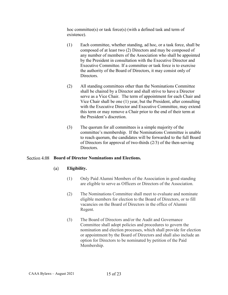hoc committee(s) or task force(s) (with a defined task and term of existence).

- (1) Each committee, whether standing, ad hoc, or a task force, shall be composed of at least two (2) Directors and may be composed of any number of members of the Association who shall be appointed by the President in consultation with the Executive Director and Executive Committee. If a committee or task force is to exercise the authority of the Board of Directors, it may consist only of Directors.
- (2) All standing committees other than the Nominations Committee shall be chaired by a Director and shall strive to have a Director serve as a Vice Chair. The term of appointment for each Chair and Vice Chair shall be one (1) year, but the President, after consulting with the Executive Director and Executive Committee, may extend this term or may remove a Chair prior to the end of their term at the President's discretion.
- (3) The quorum for all committees is a simple majority of the committee's membership. If the Nominations Committee is unable to reach quorum, the candidates will be forwarded to the full Board of Directors for approval of two-thirds (2/3) of the then-serving Directors.

## <span id="page-17-0"></span>**Board of Director Nominations and Elections.**

#### $(a)$ **Eligibility.**

- (1) Only Paid Alumni Members of the Association in good standing are eligible to serve as Officers or Directors of the Association.
- (2) The Nominations Committee shall meet to evaluate and nominate eligible members for election to the Board of Directors, or to fill vacancies on the Board of Directors in the office of Alumni Regent.
- (3) The Board of Directors and/or the Audit and Governance Committee shall adopt policies and procedures to govern the nomination and election processes, which shall provide for election or appointment by the Board of Directors and shall also include an option for Directors to be nominated by petition of the Paid Membership.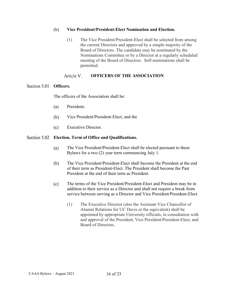#### $(b)$ **Vice President/President-Elect Nomination and Election.**

(1) The Vice President/President-Elect shall be selected from among the current Directors and approved by a simple majority of the Board of Directors. The candidate may be nominated by the Nominations Committee or by a Director at a regularly scheduled meeting of the Board of Directors. Self-nominations shall be permitted.

#### Article V. **OFFICERS OF THE ASSOCIATION**

## <span id="page-18-1"></span><span id="page-18-0"></span>Section 5.01 **Officers.**

The officers of the Association shall be:

- $(a)$ President;
- $(b)$ Vice President/President-Elect; and the
- Executive Director.  $(c)$

## <span id="page-18-2"></span>**Election, Term of Office and Qualifications.**

- $(a)$ The Vice President/President-Elect shall be elected pursuant to these Bylaws for a two (2) year term commencing July 1.
- (b) The Vice President/President-Elect shall become the President at the end of their term as President-Elect. The President shall become the Past President at the end of their term as President.
- The terms of the Vice President/President-Elect and President may be in  $(c)$ addition to their service as a Director and shall not require a break from service between serving as a Director and Vice President/President-Elect.
	- (1) The Executive Director (also the Assistant Vice Chancellor of Alumni Relations for UC Davis or the equivalent) shall be appointed by appropriate University officials, in consultation with and approval of the President, Vice President/President-Elect, and Board of Directors.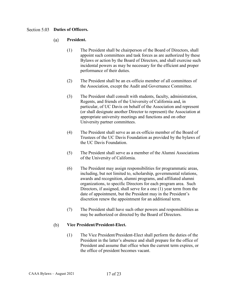## <span id="page-19-0"></span>Section 5.03 **Duties of Officers.**

#### **President.**  $(a)$

- (1) The President shall be chairperson of the Board of Directors, shall appoint such committees and task forces as are authorized by these Bylaws or action by the Board of Directors, and shall exercise such incidental powers as may be necessary for the efficient and proper performance of their duties.
- (2) The President shall be an ex-officio member of all committees of the Association, except the Audit and Governance Committee.
- (3) The President shall consult with students, faculty, administration, Regents, and friends of the University of California and, in particular, of UC Davis on behalf of the Association and represent (or shall designate another Director to represent) the Association at appropriate university meetings and functions and on other University partner committees.
- (4) The President shall serve as an ex-officio member of the Board of Trustees of the UC Davis Foundation as provided by the bylaws of the UC Davis Foundation.
- (5) The President shall serve as a member of the Alumni Associations of the University of California.
- (6) The President may assign responsibilities for programmatic areas, including, but not limited to, scholarship, governmental relations, awards and recognition, alumni programs, and affiliated alumni organizations, to specific Directors for each program area. Such Directors, if assigned, shall serve for a one (1) year term from the date of appointment, but the President may in the President's discretion renew the appointment for an additional term.
- (7) The President shall have such other powers and responsibilities as may be authorized or directed by the Board of Directors.

#### **Vice President/President-Elect.** (b)

(1) The Vice President/President-Elect shall perform the duties of the President in the latter's absence and shall prepare for the office of President and assume that office when the current term expires, or the office of president becomes vacant.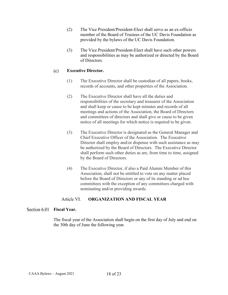- (2) The Vice President/President-Elect shall serve as an ex-officio member of the Board of Trustees of the UC Davis Foundation as provided by the bylaws of the UC Davis Foundation.
- (3) The Vice President/President-Elect shall have such other powers and responsibilities as may be authorized or directed by the Board of Directors.

#### **Executive Director.**  $(c)$

- (1) The Executive Director shall be custodian of all papers, books, records of accounts, and other properties of the Association.
- (2) The Executive Director shall have all the duties and responsibilities of the secretary and treasurer of the Association and shall keep or cause to be kept minutes and records of all meetings and actions of the Association, the Board of Directors and committees of directors and shall give or cause to be given notice of all meetings for which notice is required to be given.
- (3) The Executive Director is designated as the General Manager and Chief Executive Officer of the Association. The Executive Director shall employ and/or dispense with such assistance as may be authorized by the Board of Directors. The Executive Director shall perform such other duties as are, from time to time, assigned by the Board of Directors.
- (4) The Executive Director, if also a Paid Alumni Member of this Association, shall not be entitled to vote on any matter placed before the Board of Directors or any of its standing or ad hoc committees with the exception of any committees charged with nominating and/or providing awards.

#### Article VI. **ORGANIZATION AND FISCAL YEAR**

## <span id="page-20-1"></span><span id="page-20-0"></span>Section 6.01 **Fiscal Year.**

The fiscal year of the Association shall begin on the first day of July and end on the 30th day of June the following year.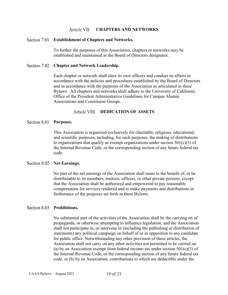#### Article VII. **CHAPTERS AND NETWORKS**

## <span id="page-21-1"></span><span id="page-21-0"></span>**Establishment of Chapters and Networks.**

To further the purposes of this Association, chapters or networks may be established and maintained as the Board of Directors designates.

## <span id="page-21-2"></span>Section 7.02 **Chapter and Network Leadership.**

Each chapter or network shall elect its own officers and conduct its affairs in accordance with the policies and procedures established by the Board of Directors and in accordance with the purposes of the Association as articulated in these Bylaws. All chapters and networks shall adhere to the University of California Office of the President Administrative Guidelines for Campus Alumni Associations and Constituent Groups.

## Article VIII. **DEDICATION OF ASSETS**

## <span id="page-21-4"></span><span id="page-21-3"></span>Section 8.01 Purposes.

This Association is organized exclusively for charitable, religious, educational, and scientific purposes, including, for such purposes, the making of distributions to organizations that qualify as exempt organizations under section  $501(c)(3)$  of the Internal Revenue Code, or the corresponding section of any future federal tax code.

### <span id="page-21-5"></span>Section 8.02 Net Earnings.

No part of the net earnings of the Association shall inure to the benefit of, or be distributable to its members, trustees, officers, or other private persons, except that the Association shall be authorized and empowered to pay reasonable compensation for services rendered and to make payments and distributions in furtherance of the purposes set forth in these Bylaws.

## <span id="page-21-6"></span>Section 8.03 Prohibitions.

No substantial part of the activities of the Association shall be the carrying on of propaganda, or otherwise attempting to influence legislation, and the Association shall not participate in, or intervene in (including the publishing or distribution of statements) any political campaign on behalf of or in opposition to any candidate for public office. Notwithstanding any other provision of these articles, the Association shall not carry on any other activities not permitted to be carried on (a) by an Association exempt from federal income tax under section  $501(c)(3)$  of the Internal Revenue Code, or the corresponding section of any future federal tax code, or (b) by an Association, contributions to which are deductible under the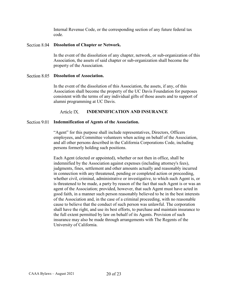Internal Revenue Code, or the corresponding section of any future federal tax code.

## <span id="page-22-0"></span>**Dissolution of Chapter or Network.**

In the event of the dissolution of any chapter, network, or sub-organization of this Association, the assets of said chapter or sub-organization shall become the property of the Association.

## <span id="page-22-1"></span>Section 8.05 **Dissolution of Association.**

In the event of the dissolution of this Association, the assets, if any, of this Association shall become the property of the UC Davis Foundation for purposes consistent with the terms of any individual gifts of those assets and to support of alumni programming at UC Davis.

#### Article IX. **INDEMNIFICATION AND INSURANCE**

## <span id="page-22-3"></span><span id="page-22-2"></span>**Indemnification of Agents of the Association.**

"Agent" for this purpose shall include representatives, Directors, Officers employees, and Committee volunteers when acting on behalf of the Association, and all other persons described in the California Corporations Code, including persons formerly holding such positions.

Each Agent (elected or appointed), whether or not then in office, shall be indemnified by the Association against expenses (including attorney's fees), judgments, fines, settlement and other amounts actually and reasonably incurred in connection with any threatened, pending or completed action or proceeding, whether civil, criminal, administrative or investigative, to which such Agent is, or is threatened to be made, a party by reason of the fact that such Agent is or was an agent of the Association; provided, however, that such Agent must have acted in good faith, in a manner such person reasonably believed to be in the best interests of the Association and, in the case of a criminal proceeding, with no reasonable cause to believe that the conduct of such person was unlawful. The corporation shall have the right, and use its best efforts, to purchase and maintain insurance to the full extent permitted by law on behalf of its Agents. Provision of such insurance may also be made through arrangements with The Regents of the University of California.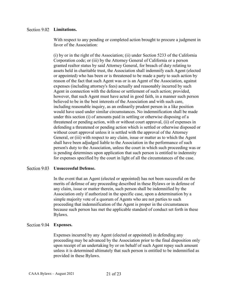## <span id="page-23-0"></span>Section 9.02 **Limitations.**

With respect to any pending or completed action brought to procure a judgment in favor of the Association:

(i) by or in the right of the Association; (ii) under Section 5233 of the California Corporation code; or (iii) by the Attorney General of California or a person granted realtor status by said Attorney General, for breach of duty relating to assets held in charitable trust, the Association shall indemnify each Agent (elected or appointed) who has been or is threatened to be made a party to such action by reason of the fact that such Agent was or is an Agent of the Association, against expenses (including attorney's fees) actually and reasonably incurred by such Agent in connection with the defense or settlement of such action; provided, however, that such Agent must have acted in good faith, in a manner such person believed to be in the best interests of the Association and with such care, including reasonable inquiry, as an ordinarily prudent person in a like position would have used under similar circumstances. No indemnification shall be made under this section (i) of amounts paid in settling or otherwise disposing of a threatened or pending action, with or without court approval, (ii) of expenses in defending a threatened or pending action which is settled or otherwise disposed or without court approval unless it is settled with the approval of the Attorney General, or (iii) with respect to any claim, issue or matter as to which the Agent shall have been adjudged liable to the Association in the performance of such person's duty to the Association, unless the court in which such proceeding was or is pending determines upon application that such person is entitled to indemnity for expenses specified by the court in light of all the circumstances of the case.

## <span id="page-23-1"></span>Section 9.03 **Unsuccessful Defense.**

In the event that an Agent (elected or appointed) has not been successful on the merits of defense of any proceeding described in these Bylaws or in defense of any claim, issue or matter therein, such person shall be indemnified by the Association only if authorized in the specific case, upon a determination by a simple majority vote of a quorum of Agents who are not parties to such proceeding that indemnification of the Agent is proper in the circumstances because such person has met the applicable standard of conduct set forth in these Bylaws.

## <span id="page-23-2"></span>**Expenses.**

Expenses incurred by any Agent (elected or appointed) in defending any proceeding may be advanced by the Association prior to the final disposition only upon receipt of an undertaking by or on behalf of such Agent repay such amount unless it is determined ultimately that such person is entitled to be indemnified as provided in these Bylaws.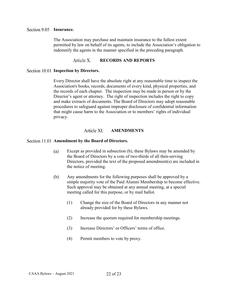## <span id="page-24-0"></span>Section 9.05 **Insurance.**

The Association may purchase and maintain insurance to the fullest extent permitted by law on behalf of its agents, to include the Association's obligation to indemnify the agents in the manner specified in the preceding paragraph.

#### Article X. **RECORDS AND REPORTS**

## <span id="page-24-2"></span><span id="page-24-1"></span>**Section 10.01 Inspection by Directors.**

Every Director shall have the absolute right at any reasonable time to inspect the Association's books, records, documents of every kind, physical properties, and the records of each chapter. The inspection may be made in person or by the Director's agent or attorney. The right of inspection includes the right to copy and make extracts of documents. The Board of Directors may adopt reasonable procedures to safeguard against improper disclosure of confidential information that might cause harm to the Association or to members' rights of individual privacy.

#### **AMENDMENTS** Article XI.

## <span id="page-24-4"></span><span id="page-24-3"></span>**Amendment by the Board of Directors.**

- $(a)$ Except as provided in subsection (b), these Bylaws may be amended by the Board of Directors by a vote of two-thirds of all then-serving Directors, provided the text of the proposed amendment(s) are included in the notice of meeting.
- $(b)$ Any amendments for the following purposes shall be approved by a simple majority vote of the Paid Alumni Membership to become effective. Such approval may be obtained at any annual meeting, at a special meeting called for this purpose, or by mail ballot.
	- (1) Change the size of the Board of Directors in any manner not already provided for by these Bylaws.
	- (2) Increase the quorum required for membership meetings.
	- (3) Increase Directors' or Officers' terms of office.
	- (4) Permit members to vote by proxy.